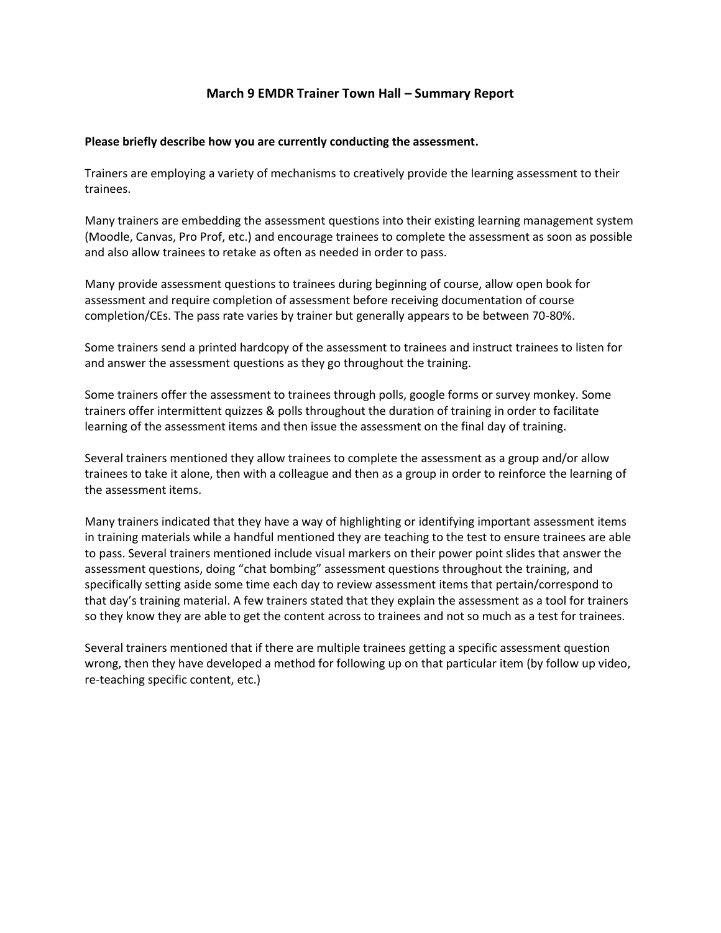# **March 9 EMDR Trainer Town Hall – Summary Report**

#### **Please briefly describe how you are currently conducting the assessment.**

Trainers are employing a variety of mechanisms to creatively provide the learning assessment to their trainees.

Many trainers are embedding the assessment questions into their existing learning management system (Moodle, Canvas, Pro Prof, etc.) and encourage trainees to complete the assessment as soon as possible and also allow trainees to retake as often as needed in order to pass.

Many provide assessment questions to trainees during beginning of course, allow open book for assessment and require completion of assessment before receiving documentation of course completion/CEs. The pass rate varies by trainer but generally appears to be between 70-80%.

Some trainers send a printed hardcopy of the assessment to trainees and instruct trainees to listen for and answer the assessment questions as they go throughout the training.

Some trainers offer the assessment to trainees through polls, google forms or survey monkey. Some trainers offer intermittent quizzes & polls throughout the duration of training in order to facilitate learning of the assessment items and then issue the assessment on the final day of training.

Several trainers mentioned they allow trainees to complete the assessment as a group and/or allow trainees to take it alone, then with a colleague and then as a group in order to reinforce the learning of the assessment items.

Many trainers indicated that they have a way of highlighting or identifying important assessment items in training materials while a handful mentioned they are teaching to the test to ensure trainees are able to pass. Several trainers mentioned include visual markers on their power point slides that answer the assessment questions, doing "chat bombing" assessment questions throughout the training, and specifically setting aside some time each day to review assessment items that pertain/correspond to that day's training material. A few trainers stated that they explain the assessment as a tool for trainers so they know they are able to get the content across to trainees and not so much as a test for trainees.

Several trainers mentioned that if there are multiple trainees getting a specific assessment question wrong, then they have developed a method for following up on that particular item (by follow up video, re-teaching specific content, etc.)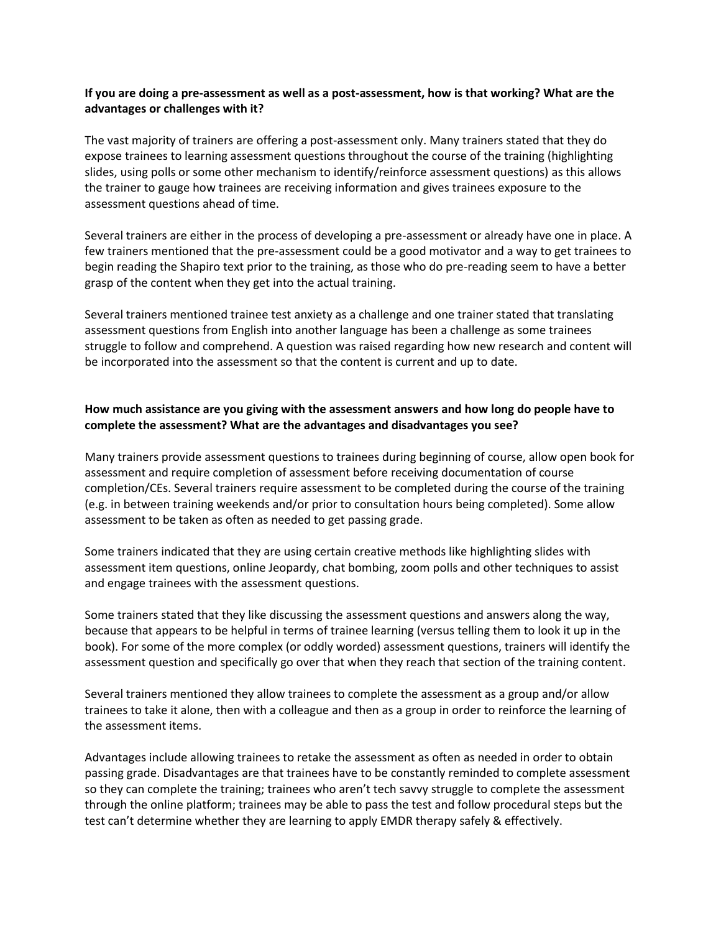### **If you are doing a pre-assessment as well as a post-assessment, how is that working? What are the advantages or challenges with it?**

The vast majority of trainers are offering a post-assessment only. Many trainers stated that they do expose trainees to learning assessment questions throughout the course of the training (highlighting slides, using polls or some other mechanism to identify/reinforce assessment questions) as this allows the trainer to gauge how trainees are receiving information and gives trainees exposure to the assessment questions ahead of time.

Several trainers are either in the process of developing a pre-assessment or already have one in place. A few trainers mentioned that the pre-assessment could be a good motivator and a way to get trainees to begin reading the Shapiro text prior to the training, as those who do pre-reading seem to have a better grasp of the content when they get into the actual training.

Several trainers mentioned trainee test anxiety as a challenge and one trainer stated that translating assessment questions from English into another language has been a challenge as some trainees struggle to follow and comprehend. A question was raised regarding how new research and content will be incorporated into the assessment so that the content is current and up to date.

## **How much assistance are you giving with the assessment answers and how long do people have to complete the assessment? What are the advantages and disadvantages you see?**

Many trainers provide assessment questions to trainees during beginning of course, allow open book for assessment and require completion of assessment before receiving documentation of course completion/CEs. Several trainers require assessment to be completed during the course of the training (e.g. in between training weekends and/or prior to consultation hours being completed). Some allow assessment to be taken as often as needed to get passing grade.

Some trainers indicated that they are using certain creative methods like highlighting slides with assessment item questions, online Jeopardy, chat bombing, zoom polls and other techniques to assist and engage trainees with the assessment questions.

Some trainers stated that they like discussing the assessment questions and answers along the way, because that appears to be helpful in terms of trainee learning (versus telling them to look it up in the book). For some of the more complex (or oddly worded) assessment questions, trainers will identify the assessment question and specifically go over that when they reach that section of the training content.

Several trainers mentioned they allow trainees to complete the assessment as a group and/or allow trainees to take it alone, then with a colleague and then as a group in order to reinforce the learning of the assessment items.

Advantages include allowing trainees to retake the assessment as often as needed in order to obtain passing grade. Disadvantages are that trainees have to be constantly reminded to complete assessment so they can complete the training; trainees who aren't tech savvy struggle to complete the assessment through the online platform; trainees may be able to pass the test and follow procedural steps but the test can't determine whether they are learning to apply EMDR therapy safely & effectively.